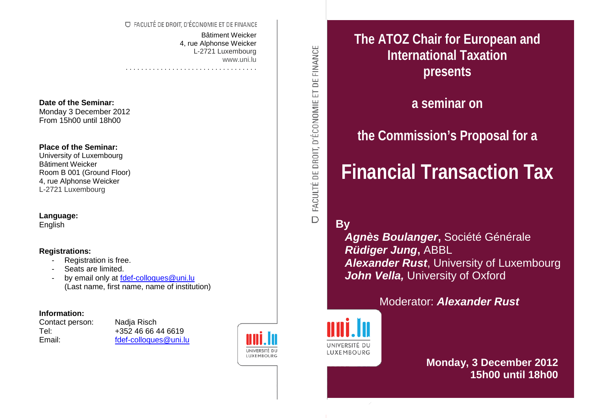### O FACULTÉ DE DROIT. D'ÉCONOMIE ET DE FINANCE

. . . . . . . . . . . . . . . . . . . . . . . . . . . . . . . . . .

Bâtiment Weicker 4, rue Alphonse Weicker L-2721 Luxembourg www.uni.lu

### **Date of the Seminar:**

Monday 3 December 2012 From 15h00 until 18h00

### **Place of the Seminar:**

University of Luxembourg Bâtiment Weicker Room B 001 (Ground Floor) 4, rue Alphonse Weicker L-2721 Luxembourg

### **Language:**

English

### **Registrations:**

- Registration is free.
- Seats are limited.
- by email only at [fdef-colloques@uni.lu](mailto:fdef-colloques@uni.lu) (Last name, first name, name of institution)

### **Information:**

Contact person: Nadja Risch

Tel: +352 46 66 44 6619 Email: [fdef-colloques@uni.lu](mailto:fdef-colloques@uni.lu)



FACULTÉ DE DROIT, D'ÉCONOMIE ET DE FINANCE  $\overline{D}$ 

**The ATOZ Chair for European and International Taxation presents** 

**a seminar on**

# **the Commission's Proposal for a**

# **Financial Transaction Tax**

**By**

 *Agnès Boulanger***,** Société Générale  *Rüdiger Jung***,** ABBL **Alexander Rust**, University of Luxembourg **John Vella, University of Oxford** 

Moderator: *Alexander Rust*



**Monday, 3 December 2012 15h00 until 18h00**